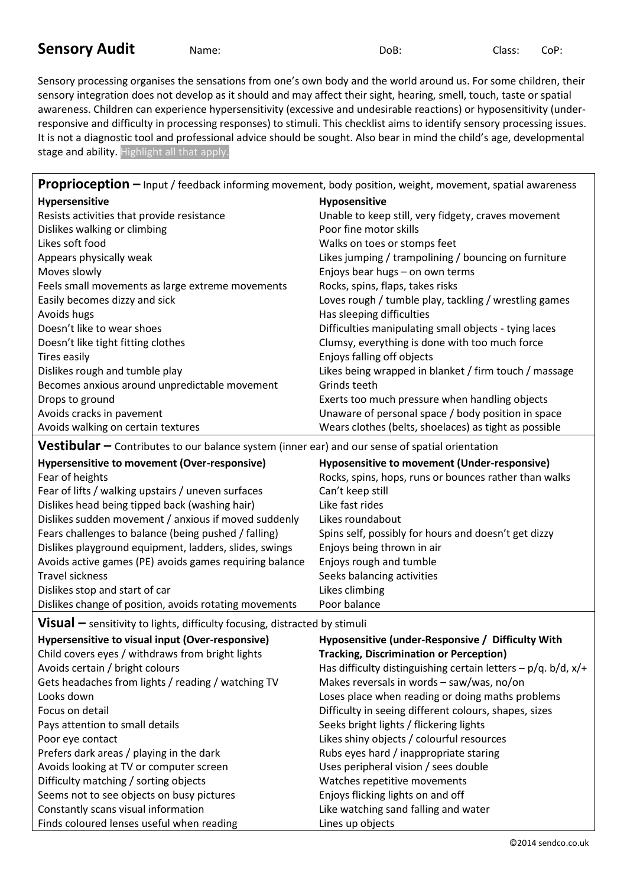## **Sensory Audit** Name: Name: DoB: Class: CoP:

Sensory processing organises the sensations from one's own body and the world around us. For some children, their sensory integration does not develop as it should and may affect their sight, hearing, smell, touch, taste or spatial awareness. Children can experience hypersensitivity (excessive and undesirable reactions) or hyposensitivity (underresponsive and difficulty in processing responses) to stimuli. This checklist aims to identify sensory processing issues. It is not a diagnostic tool and professional advice should be sought. Also bear in mind the child's age, developmental stage and ability. Highlight all that apply.

| <b>Proprioception -</b> Input / feedback informing movement, body position, weight, movement, spatial awareness |                                                       |
|-----------------------------------------------------------------------------------------------------------------|-------------------------------------------------------|
| Hypersensitive                                                                                                  | Hyposensitive                                         |
| Resists activities that provide resistance                                                                      | Unable to keep still, very fidgety, craves movement   |
| Dislikes walking or climbing                                                                                    | Poor fine motor skills                                |
| Likes soft food                                                                                                 | Walks on toes or stomps feet                          |
| Appears physically weak                                                                                         | Likes jumping / trampolining / bouncing on furniture  |
| Moves slowly                                                                                                    | Enjoys bear hugs - on own terms                       |
| Feels small movements as large extreme movements                                                                | Rocks, spins, flaps, takes risks                      |
| Easily becomes dizzy and sick                                                                                   | Loves rough / tumble play, tackling / wrestling games |
| Avoids hugs                                                                                                     | Has sleeping difficulties                             |
| Doesn't like to wear shoes                                                                                      | Difficulties manipulating small objects - tying laces |
| Doesn't like tight fitting clothes                                                                              | Clumsy, everything is done with too much force        |
| Tires easily                                                                                                    | Enjoys falling off objects                            |
| Dislikes rough and tumble play                                                                                  | Likes being wrapped in blanket / firm touch / massage |
| Becomes anxious around unpredictable movement                                                                   | Grinds teeth                                          |
| Drops to ground                                                                                                 | Exerts too much pressure when handling objects        |
| Avoids cracks in pavement                                                                                       | Unaware of personal space / body position in space    |
| Avoids walking on certain textures                                                                              | Wears clothes (belts, shoelaces) as tight as possible |

**Vestibular –** Contributes to our balance system (inner ear) and our sense of spatial orientation

| Hypersensitive to movement (Over-responsive)            | Hyposensitive to movement (Under-responsive)          |
|---------------------------------------------------------|-------------------------------------------------------|
| Fear of heights                                         | Rocks, spins, hops, runs or bounces rather than walks |
| Fear of lifts / walking upstairs / uneven surfaces      | Can't keep still                                      |
| Dislikes head being tipped back (washing hair)          | Like fast rides                                       |
| Dislikes sudden movement / anxious if moved suddenly    | Likes roundabout                                      |
| Fears challenges to balance (being pushed / falling)    | Spins self, possibly for hours and doesn't get dizzy  |
| Dislikes playground equipment, ladders, slides, swings  | Enjoys being thrown in air                            |
| Avoids active games (PE) avoids games requiring balance | Enjoys rough and tumble                               |
| Travel sickness                                         | Seeks balancing activities                            |
| Dislikes stop and start of car                          | Likes climbing                                        |
| Dislikes change of position, avoids rotating movements  | Poor balance                                          |
|                                                         |                                                       |

**Visual –** sensitivity to lights, difficulty focusing, distracted by stimuli

| Hypersensitive to visual input (Over-responsive)   | Hyposensitive (under-Responsive / Difficulty With               |
|----------------------------------------------------|-----------------------------------------------------------------|
| Child covers eyes / withdraws from bright lights   | <b>Tracking, Discrimination or Perception)</b>                  |
| Avoids certain / bright colours                    | Has difficulty distinguishing certain letters $-p/q$ . b/d, x/+ |
| Gets headaches from lights / reading / watching TV | Makes reversals in words - saw/was, no/on                       |
| Looks down                                         | Loses place when reading or doing maths problems                |
| Focus on detail                                    | Difficulty in seeing different colours, shapes, sizes           |
| Pays attention to small details                    | Seeks bright lights / flickering lights                         |
| Poor eye contact                                   | Likes shiny objects / colourful resources                       |
| Prefers dark areas / playing in the dark           | Rubs eyes hard / inappropriate staring                          |
| Avoids looking at TV or computer screen            | Uses peripheral vision / sees double                            |
| Difficulty matching / sorting objects              | Watches repetitive movements                                    |
| Seems not to see objects on busy pictures          | Enjoys flicking lights on and off                               |
| Constantly scans visual information                | Like watching sand falling and water                            |
| Finds coloured lenses useful when reading          | Lines up objects                                                |